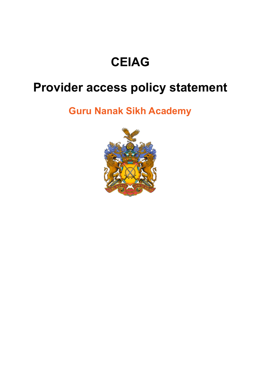# **CEIAG**

# **Provider access policy statement**

# **Guru Nanak Sikh Academy**

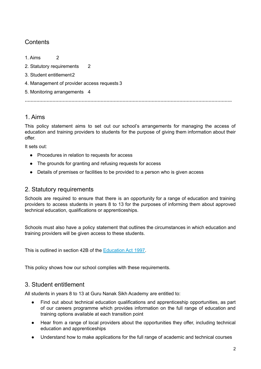# **Contents**

1. Aims 2

2. Statutory requirements 2

- 3. Student entitlement2
- 4. Management of provider access requests 3
- 5. Monitoring arrangements 4

**…………………………………………………………………………………………………………………………….**

# 1. Aims

This policy statement aims to set out our school's arrangements for managing the access of education and training providers to students for the purpose of giving them information about their offer.

It sets out:

- Procedures in relation to requests for access
- The grounds for granting and refusing requests for access
- Details of premises or facilities to be provided to a person who is given access

### 2. Statutory requirements

Schools are required to ensure that there is an opportunity for a range of education and training providers to access students in years 8 to 13 for the purposes of informing them about approved technical education, qualifications or apprenticeships.

Schools must also have a policy statement that outlines the circumstances in which education and training providers will be given access to these students.

This is outlined in section 42B of the [Education](https://www.legislation.gov.uk/ukpga/1997/44/section/42B) Act 1997.

This policy shows how our school complies with these requirements.

### 3. Student entitlement

All students in years 8 to 13 at Guru Nanak Sikh Academy are entitled to:

- Find out about technical education qualifications and apprenticeship opportunities, as part of our careers programme which provides information on the full range of education and training options available at each transition point
- Hear from a range of local providers about the opportunities they offer, including technical education and apprenticeships
- Understand how to make applications for the full range of academic and technical courses